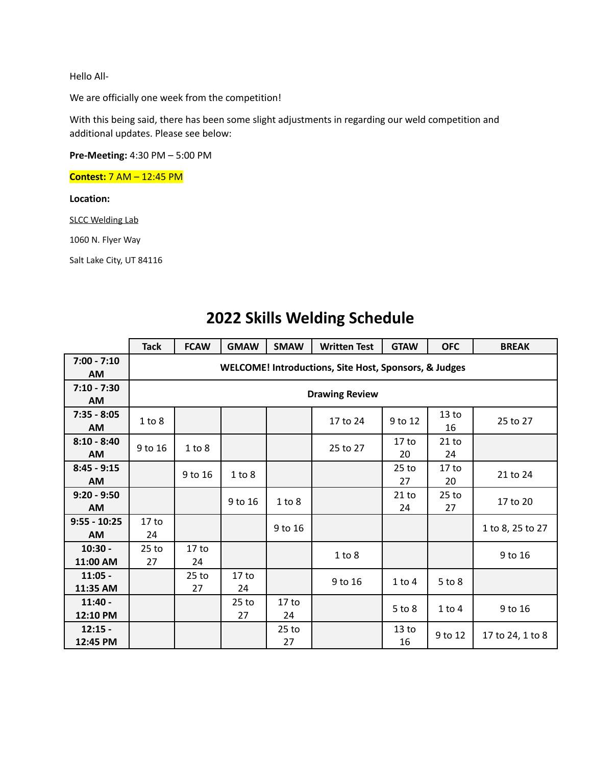Hello All-

We are officially one week from the competition!

With this being said, there has been some slight adjustments in regarding our weld competition and additional updates. Please see below:

**Pre-Meeting:** 4:30 PM – 5:00 PM

**Contest:** 7 AM – 12:45 PM

**Location:**

SLCC Welding Lab

1060 N. Flyer Way

Salt Lake City, UT 84116

|                             | <b>Tack</b>                                           | <b>FCAW</b>            | <b>GMAW</b>            | <b>SMAW</b>            | <b>Written Test</b> | <b>GTAW</b>            | <b>OFC</b>             | <b>BREAK</b>     |
|-----------------------------|-------------------------------------------------------|------------------------|------------------------|------------------------|---------------------|------------------------|------------------------|------------------|
| $7:00 - 7:10$<br>AM         | WELCOME! Introductions, Site Host, Sponsors, & Judges |                        |                        |                        |                     |                        |                        |                  |
| $7:10 - 7:30$<br><b>AM</b>  | <b>Drawing Review</b>                                 |                        |                        |                        |                     |                        |                        |                  |
| $7:35 - 8:05$<br>AM         | 1 to 8                                                |                        |                        |                        | 17 to 24            | 9 to 12                | 13 <sub>to</sub><br>16 | 25 to 27         |
| $8:10 - 8:40$<br>AM         | 9 to 16                                               | 1 to 8                 |                        |                        | 25 to 27            | 17 <sub>to</sub><br>20 | $21$ to<br>24          |                  |
| $8:45 - 9:15$<br><b>AM</b>  |                                                       | 9 to 16                | 1 to 8                 |                        |                     | $25$ to<br>27          | 17 <sub>to</sub><br>20 | 21 to 24         |
| $9:20 - 9:50$<br>AM         |                                                       |                        | 9 to 16                | 1 to 8                 |                     | 21 to<br>24            | $25$ to<br>27          | 17 to 20         |
| $9:55 - 10:25$<br><b>AM</b> | 17 <sub>to</sub><br>24                                |                        |                        | 9 to 16                |                     |                        |                        | 1 to 8, 25 to 27 |
| $10:30 -$<br>11:00 AM       | $25$ to<br>27                                         | 17 <sub>to</sub><br>24 |                        |                        | 1 to 8              |                        |                        | 9 to 16          |
| $11:05 -$<br>11:35 AM       |                                                       | $25$ to<br>27          | 17 <sub>to</sub><br>24 |                        | 9 to 16             | $1$ to $4$             | $5$ to $8$             |                  |
| $11:40 -$<br>12:10 PM       |                                                       |                        | $25$ to<br>27          | 17 <sub>to</sub><br>24 |                     | $5$ to $8$             | $1$ to $4$             | 9 to 16          |
| $12:15 -$<br>12:45 PM       |                                                       |                        |                        | $25$ to<br>27          |                     | 13 <sub>to</sub><br>16 | 9 to 12                | 17 to 24, 1 to 8 |

#### **2022 Skills Welding Schedule**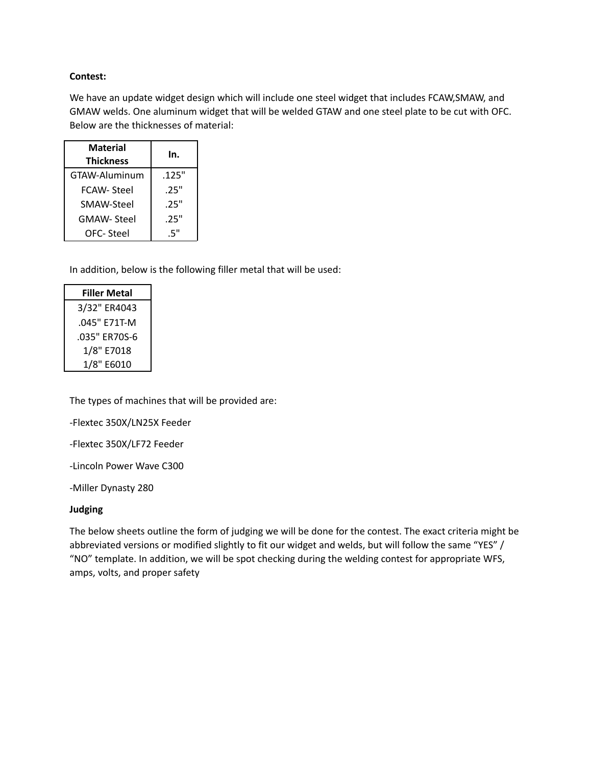#### **Contest:**

We have an update widget design which will include one steel widget that includes FCAW,SMAW, and GMAW welds. One aluminum widget that will be welded GTAW and one steel plate to be cut with OFC. Below are the thicknesses of material:

| <b>Material</b><br><b>Thickness</b> | In.   |
|-------------------------------------|-------|
| GTAW-Aluminum                       | .125" |
| FCAW- Steel                         | .25"  |
| SMAW-Steel                          | .25"  |
| <b>GMAW-Steel</b>                   | .25"  |
| OFC- Steel                          | .5"   |

In addition, below is the following filler metal that will be used:

| <b>Filler Metal</b> |
|---------------------|
| 3/32" ER4043        |
| .045" F71T-M        |
| .035" ER70S-6       |
| 1/8" E7018          |
| 1/8" E6010          |

The types of machines that will be provided are:

-Flextec 350X/LN25X Feeder

-Flextec 350X/LF72 Feeder

-Lincoln Power Wave C300

-Miller Dynasty 280

#### **Judging**

The below sheets outline the form of judging we will be done for the contest. The exact criteria might be abbreviated versions or modified slightly to fit our widget and welds, but will follow the same "YES" / "NO" template. In addition, we will be spot checking during the welding contest for appropriate WFS, amps, volts, and proper safety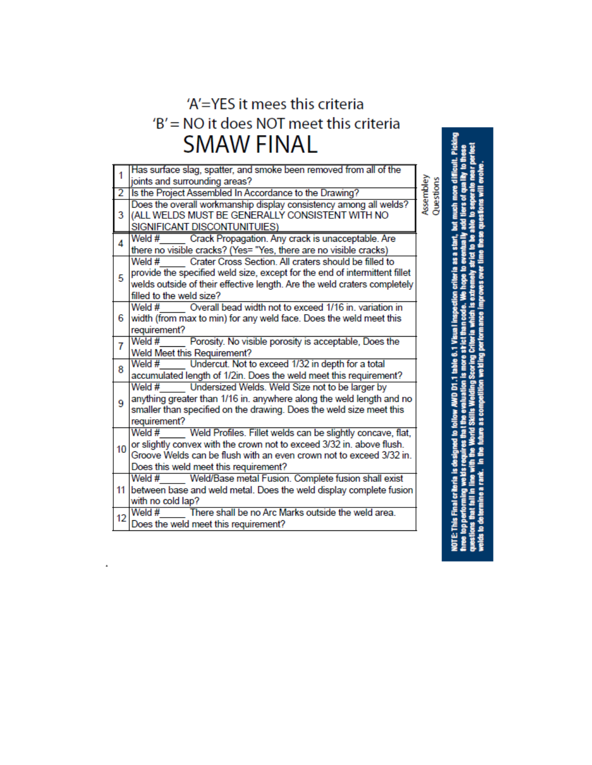# 'A'=YES it mees this criteria 'B' = NO it does NOT meet this criteria **SMAW FINAL**

|                | Has surface slag, spatter, and smoke been removed from all of the                        |                        |
|----------------|------------------------------------------------------------------------------------------|------------------------|
|                | joints and surrounding areas?                                                            |                        |
| 2              | Is the Project Assembled In Accordance to the Drawing?                                   |                        |
| 3              | Does the overall workmanship display consistency among all welds?                        | Assembley<br>Questions |
|                | (ALL WELDS MUST BE GENERALLY CONSISTENT WITH NO                                          |                        |
|                | SIGNIFICANT DISCONTUNITUIES)                                                             |                        |
| $\overline{A}$ | Crack Propagation. Any crack is unacceptable. Are<br>Weld #                              |                        |
|                | there no visible cracks? (Yes= "Yes, there are no visible cracks)                        |                        |
|                | Weld #<br>Crater Cross Section. All craters should be filled to                          |                        |
| 5              | provide the specified weld size, except for the end of intermittent fillet               |                        |
|                | welds outside of their effective length. Are the weld craters completely                 |                        |
|                | filled to the weld size?                                                                 |                        |
|                | Overall bead width not to exceed 1/16 in, variation in<br>Weld #                         |                        |
| 6              | width (from max to min) for any weld face. Does the weld meet this                       |                        |
|                | requirement?                                                                             |                        |
| 7              | Weld #<br>Porosity. No visible porosity is acceptable, Does the                          |                        |
|                | Weld Meet this Requirement?                                                              |                        |
| 8              | Undercut. Not to exceed 1/32 in depth for a total<br>Weld $#$                            |                        |
|                | accumulated length of 1/2in. Does the weld meet this requirement?                        |                        |
|                | Undersized Welds. Weld Size not to be larger by<br>Weld #                                |                        |
| 9              | anything greater than 1/16 in. anywhere along the weld length and no                     |                        |
|                | smaller than specified on the drawing. Does the weld size meet this                      |                        |
|                | requirement?                                                                             |                        |
|                | Weld #<br>Weld Profiles. Fillet welds can be slightly concave, flat,                     |                        |
|                | or slightly convex with the crown not to exceed 3/32 in. above flush.<br>10 <sup>1</sup> |                        |
|                | Groove Welds can be flush with an even crown not to exceed 3/32 in.                      |                        |
|                | Does this weld meet this requirement?                                                    |                        |
|                | Weld#<br>Weld/Base metal Fusion. Complete fusion shall exist                             |                        |
| 11             | between base and weld metal. Does the weld display complete fusion                       |                        |
|                | with no cold lap?                                                                        |                        |
| 12             | There shall be no Arc Marks outside the weld area.<br>Weld #                             |                        |
|                | Does the weld meet this requirement?                                                     |                        |
|                |                                                                                          |                        |

 $\hat{\textbf{z}}$ 

of quality to t more **IOTE: This** hree top p uestions **Lits**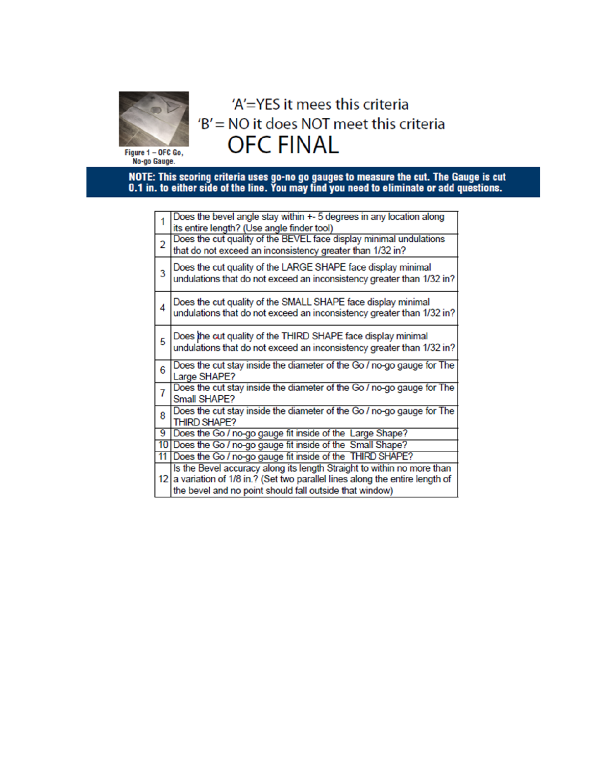

# 'A'=YES it mees this criteria 'B' = NO it does NOT meet this criteria **OFC FINAL**

Figure 1 – OFC Go,<br>No-go Gauge.

NOTE: This scoring criteria uses go-no go gauges to measure the cut. The Gauge is cut 0.1 in. to either side of the line. You may find you need to eliminate or add questions.

| $\overline{1}$ | Does the bevel angle stay within +- 5 degrees in any location along<br>its entire length? (Use angle finder tool)                                                                                                  |
|----------------|--------------------------------------------------------------------------------------------------------------------------------------------------------------------------------------------------------------------|
| $\overline{2}$ | Does the cut quality of the BEVEL face display minimal undulations<br>that do not exceed an inconsistency greater than 1/32 in?                                                                                    |
| 3              | Does the cut quality of the LARGE SHAPE face display minimal<br>undulations that do not exceed an inconsistency greater than 1/32 in?                                                                              |
| 4              | Does the cut quality of the SMALL SHAPE face display minimal<br>undulations that do not exceed an inconsistency greater than 1/32 in?                                                                              |
| 5              | Does the cut quality of the THIRD SHAPE face display minimal<br>undulations that do not exceed an inconsistency greater than 1/32 in?                                                                              |
| 6              | Does the cut stay inside the diameter of the Go / no-go gauge for The<br>Large SHAPE?                                                                                                                              |
| $\overline{7}$ | Does the cut stay inside the diameter of the Go / no-go gauge for The<br>Small SHAPE?                                                                                                                              |
| 8              | Does the cut stay inside the diameter of the Go / no-go gauge for The<br><b>THIRD SHAPE?</b>                                                                                                                       |
| 9              | Does the Go / no-go gauge fit inside of the Large Shape?                                                                                                                                                           |
|                | 10 Does the Go / no-go gauge fit inside of the Small Shape?                                                                                                                                                        |
| 11             | Does the Go / no-go gauge fit inside of the THIRD SHAPE?                                                                                                                                                           |
|                | Is the Bevel accuracy along its length Straight to within no more than<br>12 a variation of 1/8 in.? (Set two parallel lines along the entire length of<br>the bevel and no point should fall outside that window) |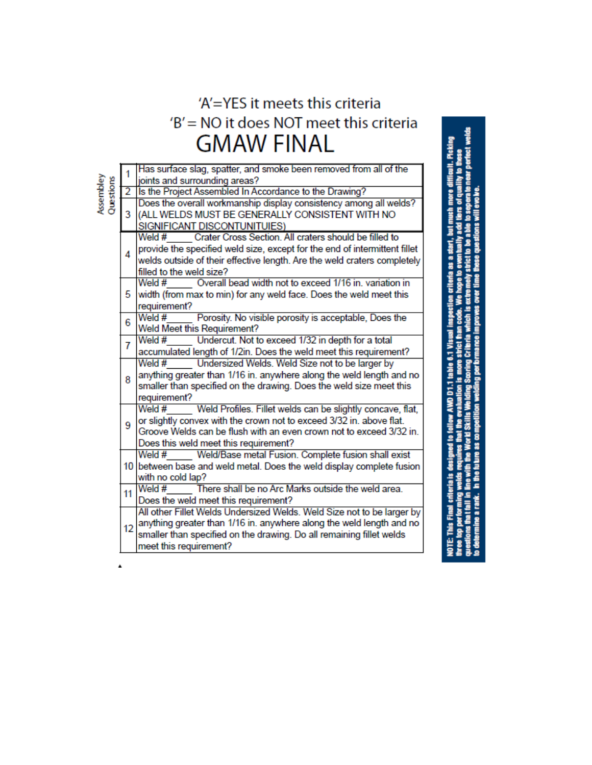### 'A'=YES it meets this criteria 'B' = NO it does NOT meet this criteria **GMAW FINAL**

welds

ault. Picking 9

|                        |                             | Has surface slag, spatter, and smoke been removed from all of the                         |  |  |  |  |
|------------------------|-----------------------------|-------------------------------------------------------------------------------------------|--|--|--|--|
| Assembley<br>Questions | 1                           | joints and surrounding areas?                                                             |  |  |  |  |
|                        | $\overline{2}$              | Is the Project Assembled In Accordance to the Drawing?                                    |  |  |  |  |
|                        |                             | Does the overall workmanship display consistency among all welds?                         |  |  |  |  |
|                        | 3                           | (ALL WELDS MUST BE GENERALLY CONSISTENT WITH NO                                           |  |  |  |  |
|                        |                             | SIGNIFICANT DISCONTUNITUIES)                                                              |  |  |  |  |
|                        |                             | Crater Cross Section, All craters should be filled to<br>Weld $#$                         |  |  |  |  |
|                        |                             | provide the specified weld size, except for the end of intermittent fillet                |  |  |  |  |
|                        | 4                           |                                                                                           |  |  |  |  |
|                        |                             | welds outside of their effective length. Are the weld craters completely                  |  |  |  |  |
|                        |                             | filled to the weld size?<br>Weld # Overall bead width not to exceed 1/16 in. variation in |  |  |  |  |
|                        |                             |                                                                                           |  |  |  |  |
|                        | 5                           | width (from max to min) for any weld face. Does the weld meet this                        |  |  |  |  |
|                        |                             | requirement?                                                                              |  |  |  |  |
|                        | 6                           | Weld $#$<br>Porosity. No visible porosity is acceptable, Does the                         |  |  |  |  |
|                        | Weld Meet this Requirement? |                                                                                           |  |  |  |  |
|                        | 7                           | Undercut. Not to exceed 1/32 in depth for a total<br>Weld #                               |  |  |  |  |
|                        |                             | accumulated length of 1/2in. Does the weld meet this requirement?                         |  |  |  |  |
|                        |                             | Weld $#$<br>Undersized Welds. Weld Size not to be larger by                               |  |  |  |  |
|                        | 8                           | anything greater than 1/16 in. anywhere along the weld length and no                      |  |  |  |  |
|                        |                             | smaller than specified on the drawing. Does the weld size meet this                       |  |  |  |  |
|                        |                             | requirement?                                                                              |  |  |  |  |
|                        |                             | Weld $#$<br>Weld Profiles. Fillet welds can be slightly concave, flat,                    |  |  |  |  |
|                        | 9                           | or slightly convex with the crown not to exceed 3/32 in. above flat.                      |  |  |  |  |
|                        |                             | Groove Welds can be flush with an even crown not to exceed 3/32 in.                       |  |  |  |  |
|                        |                             | Does this weld meet this requirement?                                                     |  |  |  |  |
|                        |                             | Weld/Base metal Fusion. Complete fusion shall exist<br>Weld $#$                           |  |  |  |  |
|                        |                             | 10 between base and weld metal. Does the weld display complete fusion                     |  |  |  |  |
|                        | with no cold lap?           |                                                                                           |  |  |  |  |
|                        | 11                          | There shall be no Arc Marks outside the weld area.<br>Weld #                              |  |  |  |  |
|                        |                             | Does the weld meet this requirement?                                                      |  |  |  |  |
|                        |                             | All other Fillet Welds Undersized Welds. Weld Size not to be larger by                    |  |  |  |  |
|                        | 12                          | anything greater than 1/16 in. anywhere along the weld length and no                      |  |  |  |  |
|                        |                             | smaller than specified on the drawing. Do all remaining fillet welds                      |  |  |  |  |
|                        |                             | meet this requirement?                                                                    |  |  |  |  |

 $\blacktriangle$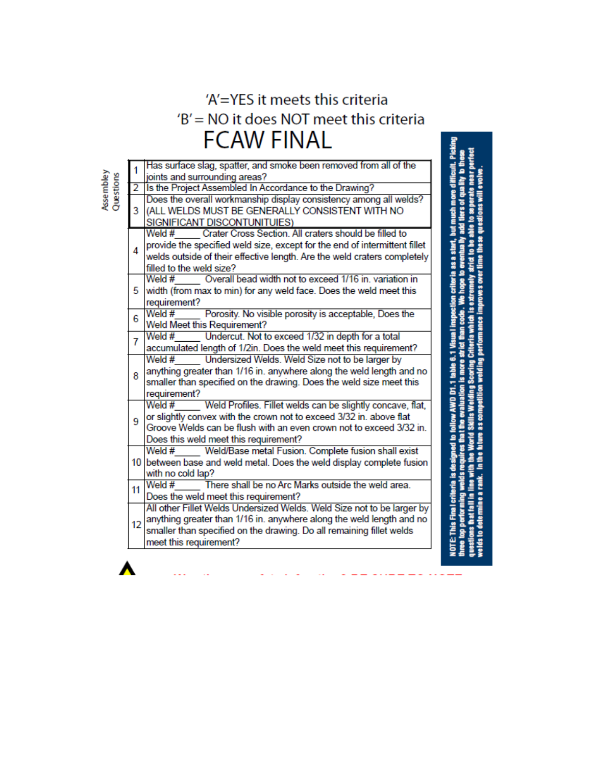# 'A'=YES it meets this criteria 'B' = NO it does NOT meet this criteria **FCAW FINAL**

| ъ |  |
|---|--|
|   |  |
|   |  |

| $\overline{1}$ | Has surface slag, spatter, and smoke been removed from all of the          |
|----------------|----------------------------------------------------------------------------|
|                | joints and surrounding areas?                                              |
| $\overline{2}$ | Is the Project Assembled In Accordance to the Drawing?                     |
| 3              | Does the overall workmanship display consistency among all welds?          |
|                | (ALL WELDS MUST BE GENERALLY CONSISTENT WITH NO                            |
|                | SIGNIFICANT DISCONTUNITUIES)                                               |
|                | Crater Cross Section. All craters should be filled to<br>Weld #            |
| 4              | provide the specified weld size, except for the end of intermittent fillet |
|                | welds outside of their effective length. Are the weld craters completely   |
|                | filled to the weld size?                                                   |
|                | Overall bead width not to exceed 1/16 in, variation in<br>Weld #           |
| 5.             | width (from max to min) for any weld face. Does the weld meet this         |
|                | requirement?                                                               |
| 6              | Weld $#$<br>Porosity. No visible porosity is acceptable, Does the          |
|                | Weld Meet this Requirement?                                                |
| 7              | Weld #<br>Undercut. Not to exceed 1/32 in depth for a total                |
|                | accumulated length of 1/2in. Does the weld meet this requirement?          |
|                | Undersized Welds. Weld Size not to be larger by<br>Weld #                  |
| 8              | anything greater than 1/16 in. anywhere along the weld length and no       |
|                | smaller than specified on the drawing. Does the weld size meet this        |
|                | requirement?                                                               |
|                | Weld #<br>Weld Profiles. Fillet welds can be slightly concave, flat,       |
| 9              | or slightly convex with the crown not to exceed 3/32 in. above flat        |
|                | Groove Welds can be flush with an even crown not to exceed 3/32 in.        |
|                | Does this weld meet this requirement?                                      |
|                | Weld/Base metal Fusion. Complete fusion shall exist<br>Weld #              |
|                | 10 between base and weld metal. Does the weld display complete fusion      |
|                | with no cold lap?                                                          |
| 11             | There shall be no Arc Marks outside the weld area.<br>Weld #               |
|                | Does the weld meet this requirement?                                       |
|                | All other Fillet Welds Undersized Welds. Weld Size not to be larger by     |
| 12             | anything greater than 1/16 in. anywhere along the weld length and no       |
|                | smaller than specified on the drawing. Do all remaining fillet welds       |
|                | meet this requirement?                                                     |
|                |                                                                            |

orid Skills Weiding Scoring Criteria which is extremely strict to be able to seperate near perfe in a Allemb ions will evolve ia as a s ង<br>ខ tion is more strict AWD D1.1 table 6.1 Vi welding 5 as an å lnthe uestions that fall in line with te is di elds to determi de Friedrich top per

at. Picki